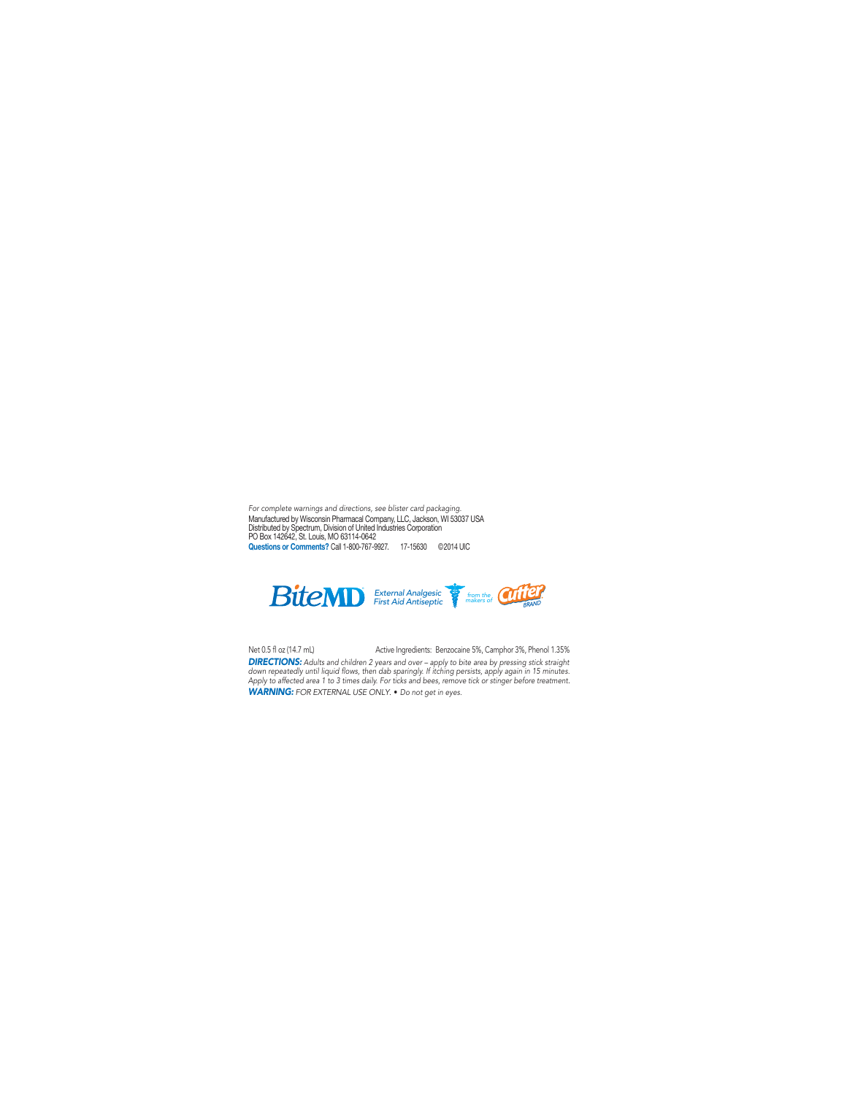Manufactured by Wisconsin Pharmacal Company, LLC, Jackson, WI 53037 USA Distributed by Spectrum, Division of United Industries Corporation PO Box 142642, St. Louis, MO 63114-0642 Questions or Comments? Call 1-800-767-9927. 17-15630 ©2014 UIC *For complete warnings and directions, see blister card packaging.*



*DIRECTIONS: Adults and children 2 years and over – apply to bite area by pressing stick straight*  down repeatedly until liquid flows, then dab sparingly. If itching persists, apply again in 15 minutes. *Apply to affected area 1 to 3 times daily. For ticks and bees, remove tick or stinger before treatment. WARNING: FOR EXTERNAL USE ONLY*. • *Do not get in eyes.* Net 0.5 fl oz (14.7 mL) Active Ingredients:Benzocaine 5%, Camphor 3%, Phenol 1.35%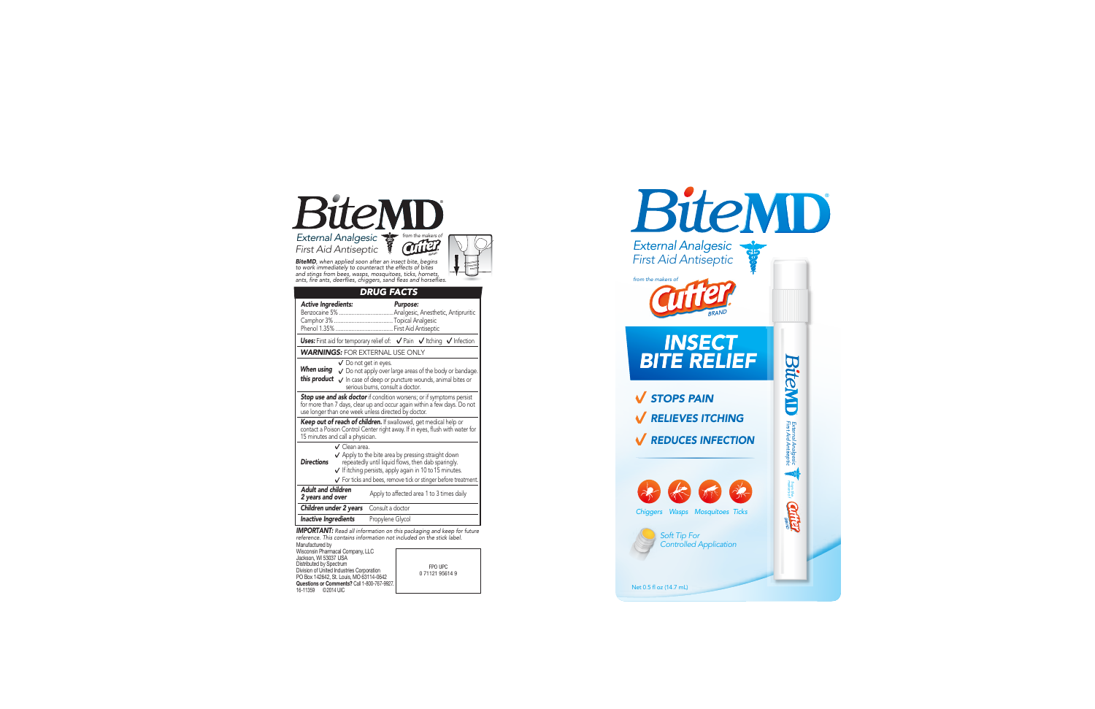

Net 0.5 fl oz (14.7 mL)